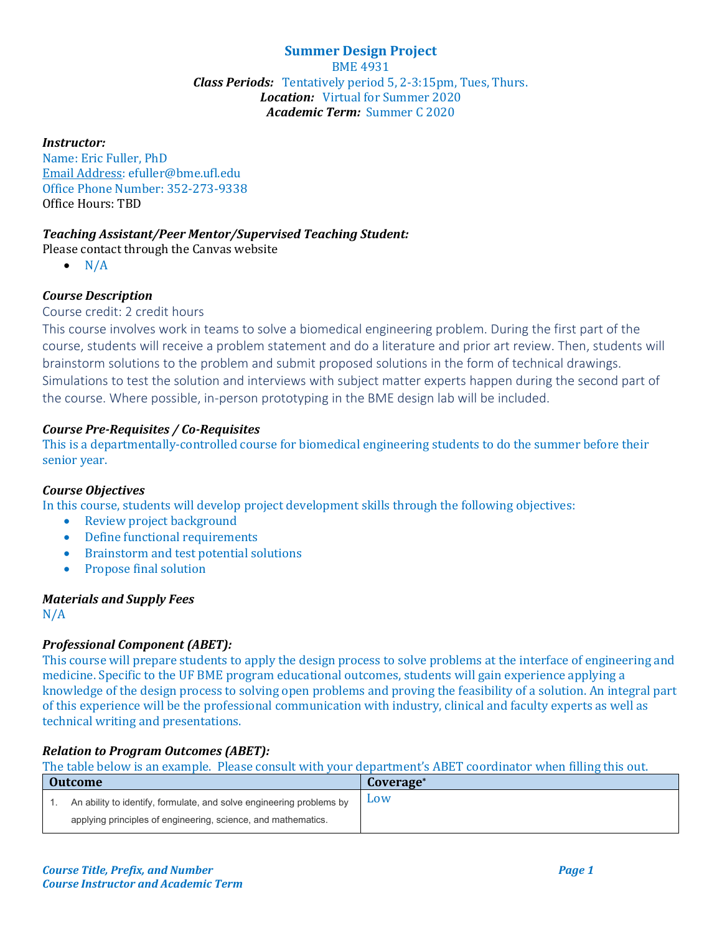## **Summer Design Project** BME 4931 *Class Periods:* Tentatively period 5, 2-3:15pm, Tues, Thurs. *Location:* Virtual for Summer 2020 *Academic Term:* Summer C 2020

#### *Instructor:*

Name: Eric Fuller, PhD Email Address: efuller@bme.ufl.edu Office Phone Number: 352-273-9338 Office Hours: TBD

## *Teaching Assistant/Peer Mentor/Supervised Teaching Student:*

Please contact through the Canvas website

 $\bullet$  N/A

# *Course Description*

#### Course credit: 2 credit hours

This course involves work in teams to solve a biomedical engineering problem. During the first part of the course, students will receive a problem statement and do a literature and prior art review. Then, students will brainstorm solutions to the problem and submit proposed solutions in the form of technical drawings. Simulations to test the solution and interviews with subject matter experts happen during the second part of the course. Where possible, in-person prototyping in the BME design lab will be included.

## *Course Pre-Requisites / Co-Requisites*

This is a departmentally-controlled course for biomedical engineering students to do the summer before their senior year.

#### *Course Objectives*

In this course, students will develop project development skills through the following objectives:

- Review project background
- Define functional requirements
- Brainstorm and test potential solutions
- Propose final solution

## *Materials and Supply Fees*

N/A

## *Professional Component (ABET):*

This course will prepare students to apply the design process to solve problems at the interface of engineering and medicine. Specific to the UF BME program educational outcomes, students will gain experience applying a knowledge of the design process to solving open problems and proving the feasibility of a solution. An integral part of this experience will be the professional communication with industry, clinical and faculty experts as well as technical writing and presentations.

## *Relation to Program Outcomes (ABET):*

The table below is an example. Please consult with your department's ABET coordinator when filling this out.

| Outcome                                                              | Coverage <sup>*</sup> |
|----------------------------------------------------------------------|-----------------------|
| An ability to identify, formulate, and solve engineering problems by | Low                   |
| applying principles of engineering, science, and mathematics.        |                       |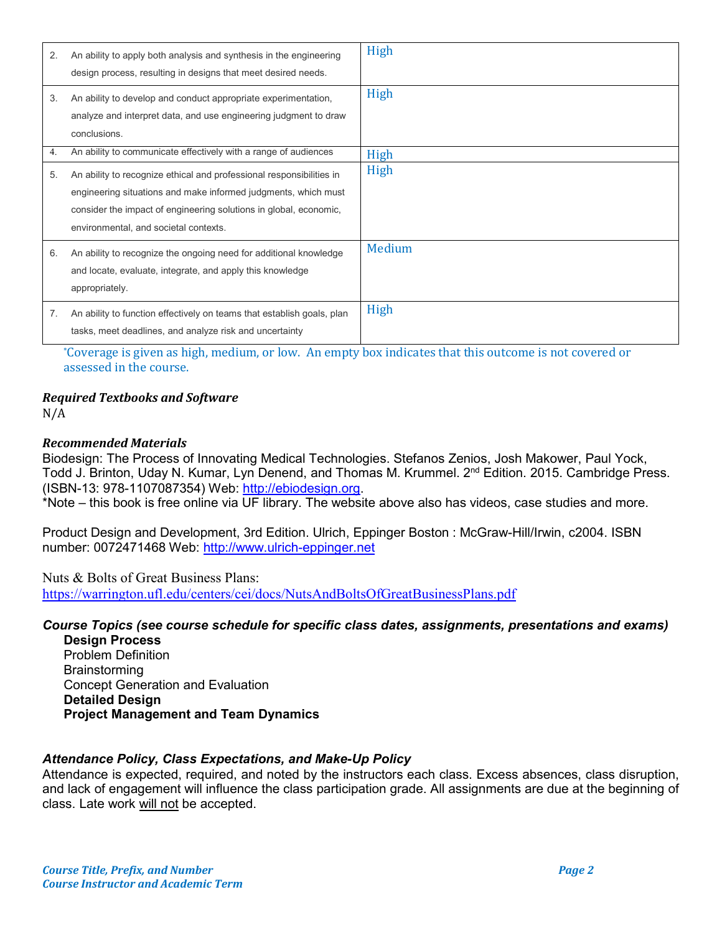| 2. | An ability to apply both analysis and synthesis in the engineering<br>design process, resulting in designs that meet desired needs.                                                                                                                  | High   |
|----|------------------------------------------------------------------------------------------------------------------------------------------------------------------------------------------------------------------------------------------------------|--------|
| 3. | An ability to develop and conduct appropriate experimentation,<br>analyze and interpret data, and use engineering judgment to draw<br>conclusions.                                                                                                   | High   |
| 4. | An ability to communicate effectively with a range of audiences                                                                                                                                                                                      | High   |
| 5. | An ability to recognize ethical and professional responsibilities in<br>engineering situations and make informed judgments, which must<br>consider the impact of engineering solutions in global, economic,<br>environmental, and societal contexts. | High   |
| 6. | An ability to recognize the ongoing need for additional knowledge<br>and locate, evaluate, integrate, and apply this knowledge<br>appropriately.                                                                                                     | Medium |
| 7. | An ability to function effectively on teams that establish goals, plan<br>tasks, meet deadlines, and analyze risk and uncertainty                                                                                                                    | High   |

\*Coverage is given as high, medium, or low. An empty box indicates that this outcome is not covered or assessed in the course.

# *Required Textbooks and Software*

N/A

## *Recommended Materials*

Biodesign: The Process of Innovating Medical Technologies. Stefanos Zenios, Josh Makower, Paul Yock, Todd J. Brinton, Uday N. Kumar, Lyn Denend, and Thomas M. Krummel. 2<sup>nd</sup> Edition. 2015. Cambridge Press. (ISBN-13: 978-1107087354) Web: [http://ebiodesign.org.](http://ebiodesign.org/)

\*Note – this book is free online via UF library. The website above also has videos, case studies and more.

Product Design and Development, 3rd Edition. Ulrich, Eppinger Boston : McGraw-Hill/Irwin, c2004. ISBN number: 0072471468 Web: [http://www.ulrich-eppinger.net](http://www.ulrich-eppinger.net/)

Nuts & Bolts of Great Business Plans: <https://warrington.ufl.edu/centers/cei/docs/NutsAndBoltsOfGreatBusinessPlans.pdf>

# *Course Topics (see course schedule for specific class dates, assignments, presentations and exams)*

**Design Process** Problem Definition **Brainstorming** Concept Generation and Evaluation **Detailed Design Project Management and Team Dynamics**

## *Attendance Policy, Class Expectations, and Make-Up Policy*

Attendance is expected, required, and noted by the instructors each class. Excess absences, class disruption, and lack of engagement will influence the class participation grade. All assignments are due at the beginning of class. Late work will not be accepted.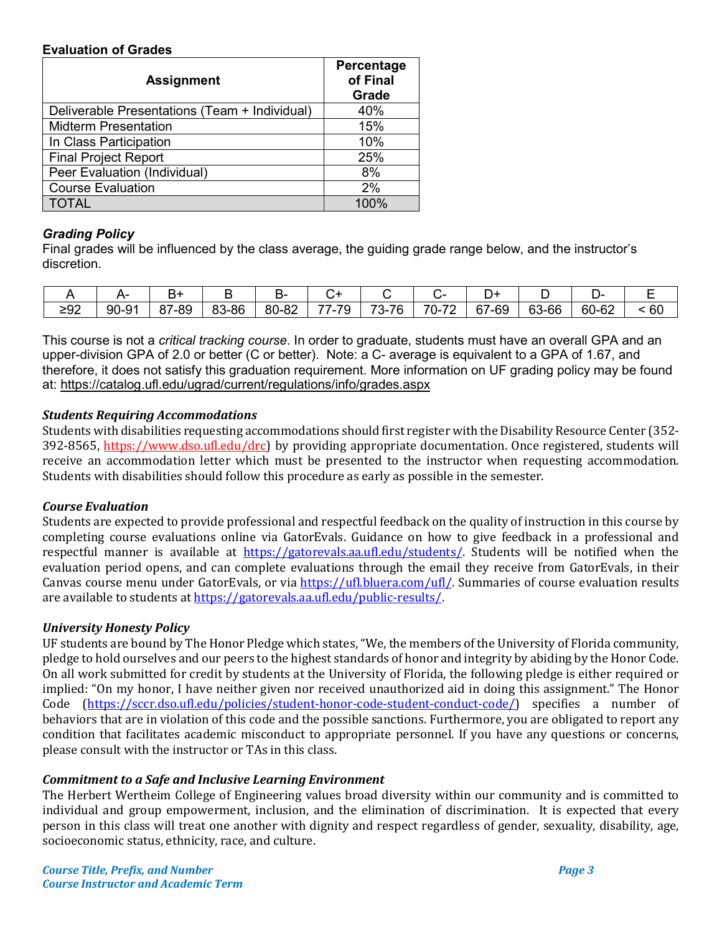## **Evaluation of Grades**

| <b>Assignment</b>                             | Percentage<br>of Final<br>Grade |  |  |
|-----------------------------------------------|---------------------------------|--|--|
| Deliverable Presentations (Team + Individual) | 40%                             |  |  |
| <b>Midterm Presentation</b>                   | 15%                             |  |  |
| In Class Participation                        | 10%                             |  |  |
| <b>Final Project Report</b>                   | 25%                             |  |  |
| Peer Evaluation (Individual)                  | 8%                              |  |  |
| <b>Course Evaluation</b>                      | 2%                              |  |  |
| <b>TOTAL</b>                                  | 100%                            |  |  |

## *Grading Policy*

Final grades will be influenced by the class average, the guiding grade range below, and the instructor's discretion.

|     |       |                           |       | - 15  |                                                                                          |                          |                                          |                 |       | . .                          |    |
|-----|-------|---------------------------|-------|-------|------------------------------------------------------------------------------------------|--------------------------|------------------------------------------|-----------------|-------|------------------------------|----|
| ≥92 | 90-91 | '-89<br>$^{\circ}$<br>o i | 83-86 | 80-8∠ | $\overline{\phantom{a}}$<br>$\rightarrow$ $\rightarrow$<br>J<br>$\overline{\phantom{a}}$ | 70<br><b>76</b><br>. n – | 70<br>$\overline{\phantom{a}}$<br>- 11 - | 67<br>-69<br>O. | 63-66 | $60 - 6$<br>$\sim$ 20<br>-vz | 60 |

This course is not a *critical tracking course*. In order to graduate, students must have an overall GPA and an upper-division GPA of 2.0 or better (C or better). Note: a C- average is equivalent to a GPA of 1.67, and therefore, it does not satisfy this graduation requirement. More information on UF grading policy may be found at:<https://catalog.ufl.edu/ugrad/current/regulations/info/grades.aspx>

# *Students Requiring Accommodations*

Students with disabilities requesting accommodations should first register with the Disability Resource Center (352- 392-8565, https://www.dso.ufl.edu/drc) by providing appropriate documentation. Once registered, students will receive an accommodation letter which must be presented to the instructor when requesting accommodation. Students with disabilities should follow this procedure as early as possible in the semester.

## *Course Evaluation*

Students are expected to provide professional and respectful feedback on the quality of instruction in this course by completing course evaluations online via GatorEvals. Guidance on how to give feedback in a professional and respectful manner is available at [https://gatorevals.aa.ufl.edu/students/.](https://gatorevals.aa.ufl.edu/students/) Students will be notified when the evaluation period opens, and can complete evaluations through the email they receive from GatorEvals, in their Canvas course menu under GatorEvals, or via [https://ufl.bluera.com/ufl/.](https://ufl.bluera.com/ufl/) Summaries of course evaluation results are available to students a[t https://gatorevals.aa.ufl.edu/public-results/.](https://gatorevals.aa.ufl.edu/public-results/)

## *University Honesty Policy*

UF students are bound by The Honor Pledge which states, "We, the members of the University of Florida community, pledge to hold ourselves and our peers to the highest standards of honor and integrity by abiding by the Honor Code. On all work submitted for credit by students at the University of Florida, the following pledge is either required or implied: "On my honor, I have neither given nor received unauthorized aid in doing this assignment." The Honor Code [\(https://sccr.dso.ufl.edu/policies/student-honor-code-student-conduct-code/\)](https://sccr.dso.ufl.edu/policies/student-honor-code-student-conduct-code/) specifies a number of behaviors that are in violation of this code and the possible sanctions. Furthermore, you are obligated to report any condition that facilitates academic misconduct to appropriate personnel. If you have any questions or concerns, please consult with the instructor or TAs in this class.

## *Commitment to a Safe and Inclusive Learning Environment*

The Herbert Wertheim College of Engineering values broad diversity within our community and is committed to individual and group empowerment, inclusion, and the elimination of discrimination. It is expected that every person in this class will treat one another with dignity and respect regardless of gender, sexuality, disability, age, socioeconomic status, ethnicity, race, and culture.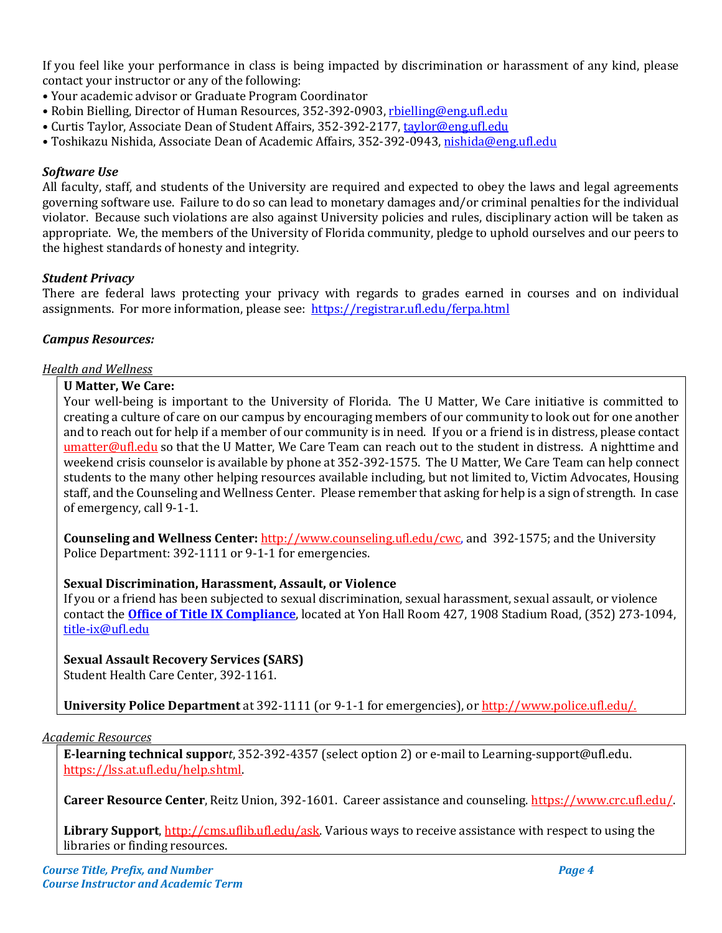If you feel like your performance in class is being impacted by discrimination or harassment of any kind, please contact your instructor or any of the following:

- Your academic advisor or Graduate Program Coordinator
- Robin Bielling, Director of Human Resources, 352-392-0903, [rbielling@eng.ufl.edu](mailto:rbielling@eng.ufl.edu)
- Curtis Taylor, Associate Dean of Student Affairs, 352-392-2177[, taylor@eng.ufl.edu](mailto:taylor@eng.ufl.edu)
- Toshikazu Nishida, Associate Dean of Academic Affairs, 352-392-0943[, nishida@eng.ufl.edu](mailto:nishida@eng.ufl.edu)

## *Software Use*

All faculty, staff, and students of the University are required and expected to obey the laws and legal agreements governing software use. Failure to do so can lead to monetary damages and/or criminal penalties for the individual violator. Because such violations are also against University policies and rules, disciplinary action will be taken as appropriate. We, the members of the University of Florida community, pledge to uphold ourselves and our peers to the highest standards of honesty and integrity.

#### *Student Privacy*

There are federal laws protecting your privacy with regards to grades earned in courses and on individual assignments. For more information, please see: <https://registrar.ufl.edu/ferpa.html>

#### *Campus Resources:*

#### *Health and Wellness*

#### **U Matter, We Care:**

Your well-being is important to the University of Florida. The U Matter, We Care initiative is committed to creating a culture of care on our campus by encouraging members of our community to look out for one another and to reach out for help if a member of our community is in need. If you or a friend is in distress, please contact [umatter@ufl.edu](mailto:umatter@ufl.edu) so that the U Matter, We Care Team can reach out to the student in distress. A nighttime and weekend crisis counselor is available by phone at 352-392-1575. The U Matter, We Care Team can help connect students to the many other helping resources available including, but not limited to, Victim Advocates, Housing staff, and the Counseling and Wellness Center. Please remember that asking for help is a sign of strength. In case of emergency, call 9-1-1.

**Counseling and Wellness Center:** [http://www.counseling.ufl.edu/cwc,](http://www.counseling.ufl.edu/cwc) and 392-1575; and the University Police Department: 392-1111 or 9-1-1 for emergencies.

## **Sexual Discrimination, Harassment, Assault, or Violence**

If you or a friend has been subjected to sexual discrimination, sexual harassment, sexual assault, or violence contact the **[Office of Title IX Compliance](https://titleix.ufl.edu/)**, located at Yon Hall Room 427, 1908 Stadium Road, (352) 273-1094, [title-ix@ufl.edu](mailto:title-ix@ufl.edu)

## **Sexual Assault Recovery Services (SARS)**

Student Health Care Center, 392-1161.

**University Police Department** at 392-1111 (or 9-1-1 for emergencies), o[r http://www.police.ufl.edu/.](http://www.police.ufl.edu/)

#### *Academic Resources*

**E-learning technical suppor***t*, 352-392-4357 (select option 2) or e-mail to Learning-support@ufl.edu. [https://lss.at.ufl.edu/help.shtml.](https://lss.at.ufl.edu/help.shtml)

**Career Resource Center**, Reitz Union, 392-1601. Career assistance and counseling[. https://www.crc.ufl.edu/.](https://www.crc.ufl.edu/)

**Library Support**[, http://cms.uflib.ufl.edu/ask.](http://cms.uflib.ufl.edu/ask) Various ways to receive assistance with respect to using the libraries or finding resources.